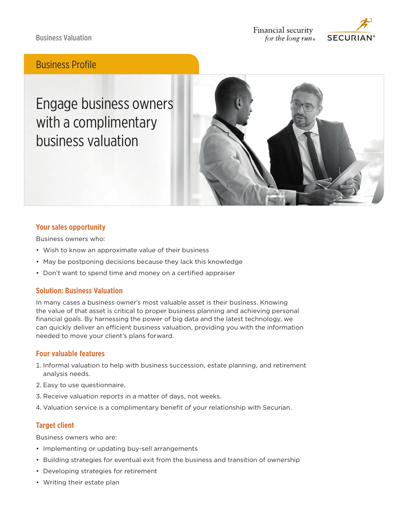Business Valuation



## Business Profile

Engage business owners with a complimentary business valuation



### **Your sales opportunity**

Business owners who:

- Wish to know an approximate value of their business
- May be postponing decisions because they lack this knowledge
- Don't want to spend time and money on a certified appraiser

#### **Solution: Business Valuation**

In many cases a business owner's most valuable asset is their business. Knowing the value of that asset is critical to proper business planning and achieving personal financial goals. By harnessing the power of big data and the latest technology, we can quickly deliver an efficient business valuation, providing you with the information needed to move your client's plans forward.

#### **Four valuable features**

- 1. Informal valuation to help with business succession, estate planning, and retirement analysis needs.
- 2. Easy to use questionnaire.
- 3. Receive valuation reports in a matter of days, not weeks.
- 4. Valuation service is a complimentary benefit of your relationship with Securian.

### **Target client**

Business owners who are:

- Implementing or updating buy-sell arrangements
- Building strategies for eventual exit from the business and transition of ownership
- Developing strategies for retirement
- Writing their estate plan